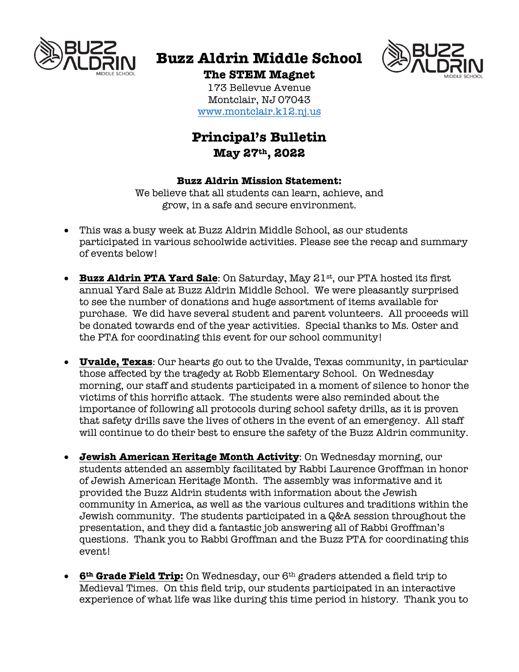

# **Buzz Aldrin Middle School**



**The STEM Magnet** 173 Bellevue Avenue Montclair, NJ 07043 www.montclair.k12.nj.us

# **Principal's Bulletin May 27th, 2022**

## **Buzz Aldrin Mission Statement:**

We believe that all students can learn, achieve, and grow, in a safe and secure environment.

- This was a busy week at Buzz Aldrin Middle School, as our students participated in various schoolwide activities. Please see the recap and summary of events below!
- **Buzz Aldrin PTA Yard Sale**: On Saturday, May 21st, our PTA hosted its first annual Yard Sale at Buzz Aldrin Middle School. We were pleasantly surprised to see the number of donations and huge assortment of items available for purchase. We did have several student and parent volunteers. All proceeds will be donated towards end of the year activities. Special thanks to Ms. Oster and the PTA for coordinating this event for our school community!
- **Uvalde, Texas**: Our hearts go out to the Uvalde, Texas community, in particular those affected by the tragedy at Robb Elementary School. On Wednesday morning, our staff and students participated in a moment of silence to honor the victims of this horrific attack. The students were also reminded about the importance of following all protocols during school safety drills, as it is proven that safety drills save the lives of others in the event of an emergency. All staff will continue to do their best to ensure the safety of the Buzz Aldrin community.
- **Jewish American Heritage Month Activity**: On Wednesday morning, our students attended an assembly facilitated by Rabbi Laurence Groffman in honor of Jewish American Heritage Month. The assembly was informative and it provided the Buzz Aldrin students with information about the Jewish community in America, as well as the various cultures and traditions within the Jewish community. The students participated in a Q&A session throughout the presentation, and they did a fantastic job answering all of Rabbi Groffman's questions. Thank you to Rabbi Groffman and the Buzz PTA for coordinating this event!
- **6th Grade Field Trip:** On Wednesday, our 6th graders attended a field trip to Medieval Times. On this field trip, our students participated in an interactive experience of what life was like during this time period in history. Thank you to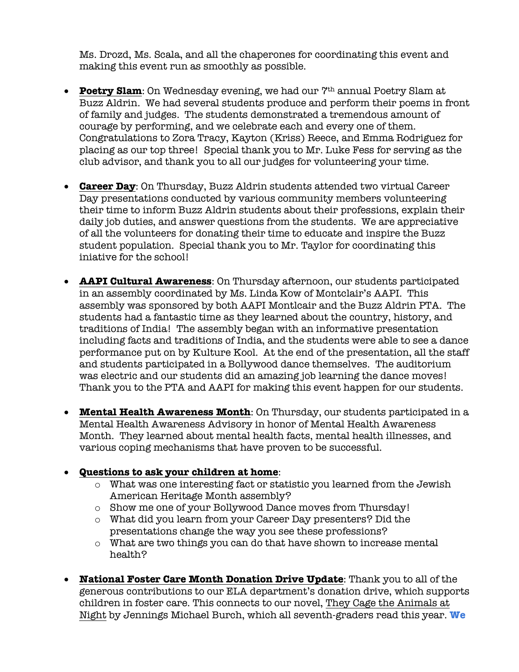Ms. Drozd, Ms. Scala, and all the chaperones for coordinating this event and making this event run as smoothly as possible.

- **Poetry Slam**: On Wednesday evening, we had our 7<sup>th</sup> annual Poetry Slam at Buzz Aldrin. We had several students produce and perform their poems in front of family and judges. The students demonstrated a tremendous amount of courage by performing, and we celebrate each and every one of them. Congratulations to Zora Tracy, Kayton (Kriss) Reece, and Emma Rodriguez for placing as our top three! Special thank you to Mr. Luke Fess for serving as the club advisor, and thank you to all our judges for volunteering your time.
- **Career Day**: On Thursday, Buzz Aldrin students attended two virtual Career Day presentations conducted by various community members volunteering their time to inform Buzz Aldrin students about their professions, explain their daily job duties, and answer questions from the students. We are appreciative of all the volunteers for donating their time to educate and inspire the Buzz student population. Special thank you to Mr. Taylor for coordinating this iniative for the school!
- **AAPI Cultural Awareness**: On Thursday afternoon, our students participated in an assembly coordinated by Ms. Linda Kow of Montclair's AAPI. This assembly was sponsored by both AAPI Montlcair and the Buzz Aldrin PTA. The students had a fantastic time as they learned about the country, history, and traditions of India! The assembly began with an informative presentation including facts and traditions of India, and the students were able to see a dance performance put on by Kulture Kool. At the end of the presentation, all the staff and students participated in a Bollywood dance themselves. The auditorium was electric and our students did an amazing job learning the dance moves! Thank you to the PTA and AAPI for making this event happen for our students.
- **Mental Health Awareness Month**: On Thursday, our students participated in a Mental Health Awareness Advisory in honor of Mental Health Awareness Month. They learned about mental health facts, mental health illnesses, and various coping mechanisms that have proven to be successful.

## • **Questions to ask your children at home**:

- o What was one interesting fact or statistic you learned from the Jewish American Heritage Month assembly?
- o Show me one of your Bollywood Dance moves from Thursday!
- o What did you learn from your Career Day presenters? Did the presentations change the way you see these professions?
- o What are two things you can do that have shown to increase mental health?
- **National Foster Care Month Donation Drive Update**: Thank you to all of the generous contributions to our ELA department's donation drive, which supports children in foster care. This connects to our novel, They Cage the Animals at Night by Jennings Michael Burch, which all seventh-graders read this year. **We**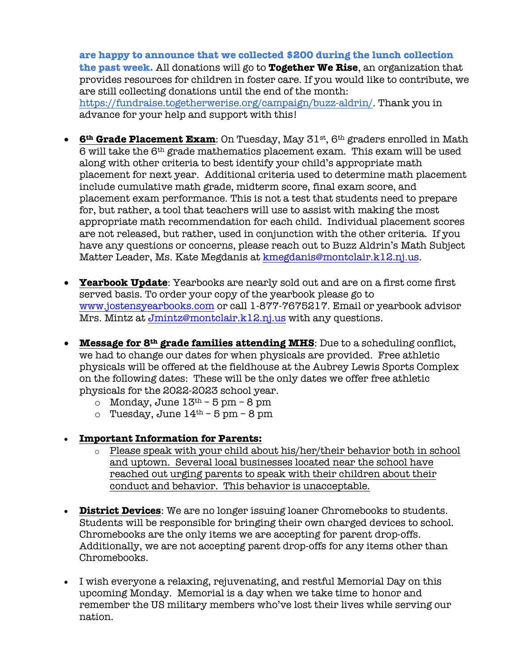**are happy to announce that we collected \$200 during the lunch collection the past week.** All donations will go to **Together We Rise**, an organization that provides resources for children in foster care. If you would like to contribute, we are still collecting donations until the end of the month: https://fundraise.togetherwerise.org/campaign/buzz-aldrin/. Thank you in advance for your help and support with this!

- **6<sup>th</sup> Grade Placement Exam**: On Tuesday, May 31<sup>st</sup>, 6<sup>th</sup> graders enrolled in Math 6 will take the 6th grade mathematics placement exam. This exam will be used along with other criteria to best identify your child's appropriate math placement for next year. Additional criteria used to determine math placement include cumulative math grade, midterm score, final exam score, and placement exam performance. This is not a test that students need to prepare for, but rather, a tool that teachers will use to assist with making the most appropriate math recommendation for each child. Individual placement scores are not released, but rather, used in conjunction with the other criteria. If you have any questions or concerns, please reach out to Buzz Aldrin's Math Subject Matter Leader, Ms. Kate Megdanis at kmegdanis@montclair.k12.nj.us.
- **Yearbook Update**: Yearbooks are nearly sold out and are on a first come first served basis. To order your copy of the yearbook please go to www.jostensyearbooks.com or call 1-877-7675217. Email or yearbook advisor Mrs. Mintz at Jmintz@montclair.k12.nj.us with any questions.
- **Message for 8th grade families attending MHS**: Due to a scheduling conflict, we had to change our dates for when physicals are provided. Free athletic physicals will be offered at the fieldhouse at the Aubrey Lewis Sports Complex on the following dates: These will be the only dates we offer free athletic physicals for the 2022-2023 school year.
	- $\circ$  Monday, June  $13<sup>th</sup> 5$  pm 8 pm
	- o Tuesday, June  $14<sup>th</sup>$  5 pm 8 pm
- **Important Information for Parents:**
	- $\circ$  Please speak with your child about his/her/their behavior both in school and uptown. Several local businesses located near the school have reached out urging parents to speak with their children about their conduct and behavior. This behavior is unacceptable.
- **District Devices**: We are no longer issuing loaner Chromebooks to students. Students will be responsible for bringing their own charged devices to school. Chromebooks are the only items we are accepting for parent drop-offs. Additionally, we are not accepting parent drop-offs for any items other than Chromebooks.
- I wish everyone a relaxing, rejuvenating, and restful Memorial Day on this upcoming Monday. Memorial is a day when we take time to honor and remember the US military members who've lost their lives while serving our nation.